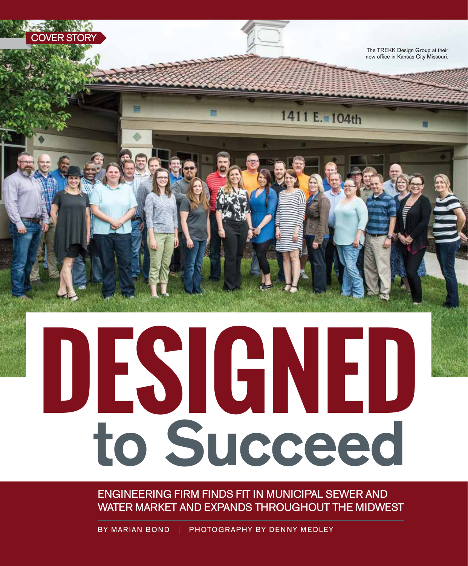

# **DESIGNED** to Succeed

ENGINEERING FIRM FINDS FIT IN MUNICIPAL SEWER AND WATER MARKET AND EXPANDS THROUGHOUT THE MIDWEST

BY MARIAN BOND | PHOTOGRAPHY BY DENNY MEDLEY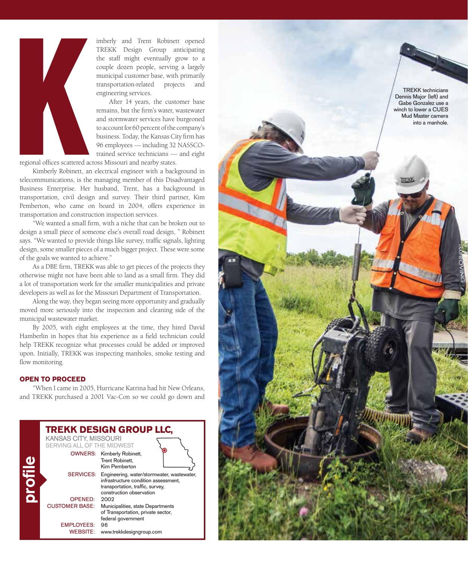

imberly and Trent Robinett opened TREKK Design Group anticipating the staff might eventually grow to a couple dozen people, serving a largely municipal customer base, with primarily transportation-related projects and engineering services.

After 14 years, the customer base remains, but the firm's water, wastewater and stormwater services have burgeoned to account for 60 percent of the company's business. Today, the Kansas City firm has 96 employees — including 32 NASSCOtrained service technicians — and eight

regional offices scattered across Missouri and nearby states.

Kimberly Robinett, an electrical engineer with a background in telecommunications, is the managing member of this Disadvantaged Business Enterprise. Her husband, Trent, has a background in transportation, civil design and survey. Their third partner, Kim Pemberton, who came on board in 2004, offers experience in transportation and construction inspection services.

"We wanted a small firm, with a niche that can be broken out to design a small piece of someone else's overall road design, " Robinett says. "We wanted to provide things like survey, traffic signals, lighting design, some smaller pieces of a much bigger project. These were some of the goals we wanted to achieve."

As a DBE firm, TREKK was able to get pieces of the projects they otherwise might not have been able to land as a small firm. They did a lot of transportation work for the smaller municipalities and private developers as well as for the Missouri Department of Transportation.

Along the way, they began seeing more opportunity and gradually moved more seriously into the inspection and cleaning side of the municipal wastewater market.

By 2005, with eight employees at the time, they hired David Hamberlin in hopes that his experience as a field technician could help TREKK recognize what processes could be added or improved upon. Initially, TREKK was inspecting manholes, smoke testing and flow monitoring.

### **OPEN TO PROCEED**

"When I came in 2005, Hurricane Katrina had hit New Orleans, and TREKK purchased a 2001 Vac-Con so we could go down and



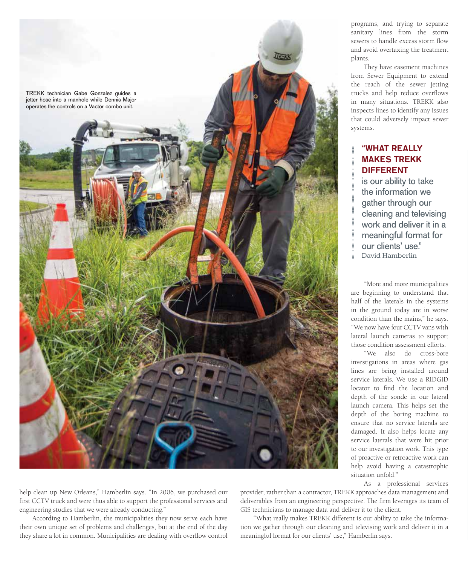

programs, and trying to separate sanitary lines from the storm sewers to handle excess storm flow and avoid overtaxing the treatment plants.

They have easement machines from Sewer Equipment to extend the reach of the sewer jetting trucks and help reduce overflows in many situations. TREKK also inspects lines to identify any issues that could adversely impact sewer systems.

## "WHAT REALLY MAKES TREKK DIFFERENT

is our ability to take the information we gather through our cleaning and televising work and deliver it in a meaningful format for our clients' use." David Hamberlin

"More and more municipalities are beginning to understand that half of the laterals in the systems in the ground today are in worse condition than the mains," he says. "We now have four CCTV vans with lateral launch cameras to support those condition assessment efforts.

"We also do cross-bore investigations in areas where gas lines are being installed around service laterals. We use a RIDGID locator to find the location and depth of the sonde in our lateral launch camera. This helps set the depth of the boring machine to ensure that no service laterals are damaged. It also helps locate any service laterals that were hit prior to our investigation work. This type of proactive or retroactive work can help avoid having a catastrophic situation unfold."

As a professional services

help clean up New Orleans," Hamberlin says. "In 2006, we purchased our first CCTV truck and were thus able to support the professional services and engineering studies that we were already conducting."

According to Hamberlin, the municipalities they now serve each have their own unique set of problems and challenges, but at the end of the day they share a lot in common. Municipalities are dealing with overflow control

provider, rather than a contractor, TREKK approaches data management and deliverables from an engineering perspective. The firm leverages its team of GIS technicians to manage data and deliver it to the client.

"What really makes TREKK different is our ability to take the information we gather through our cleaning and televising work and deliver it in a meaningful format for our clients' use," Hamberlin says.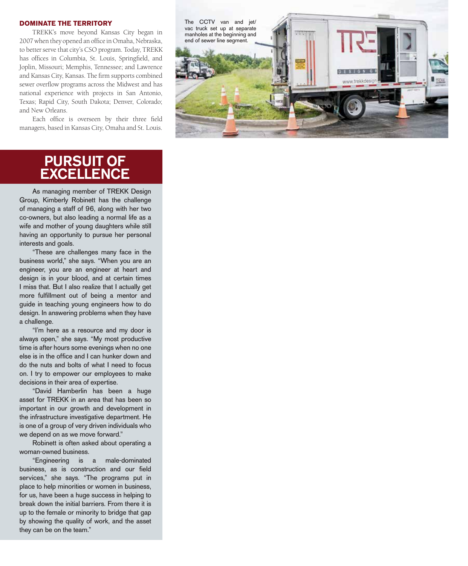### **DOMINATE THE TERRITORY**

TREKK's move beyond Kansas City began in 2007 when they opened an office in Omaha, Nebraska, to better serve that city's CSO program. Today, TREKK has offices in Columbia, St. Louis, Springfield, and Joplin, Missouri; Memphis, Tennessee; and Lawrence and Kansas City, Kansas. The firm supports combined sewer overflow programs across the Midwest and has national experience with projects in San Antonio, Texas; Rapid City, South Dakota; Denver, Colorado; and New Orleans.

Each office is overseen by their three field managers, based in Kansas City, Omaha and St. Louis.



# PURSUIT OF **EXCELLENCE**

As managing member of TREKK Design Group, Kimberly Robinett has the challenge of managing a staff of 96, along with her two co-owners, but also leading a normal life as a wife and mother of young daughters while still having an opportunity to pursue her personal interests and goals.

"These are challenges many face in the business world," she says. "When you are an engineer, you are an engineer at heart and design is in your blood, and at certain times I miss that. But I also realize that I actually get more fulfillment out of being a mentor and guide in teaching young engineers how to do design. In answering problems when they have a challenge.

"I'm here as a resource and my door is always open," she says. "My most productive time is after hours some evenings when no one else is in the office and I can hunker down and do the nuts and bolts of what I need to focus on. I try to empower our employees to make decisions in their area of expertise.

"David Hamberlin has been a huge asset for TREKK in an area that has been so important in our growth and development in the infrastructure investigative department. He is one of a group of very driven individuals who we depend on as we move forward."

Robinett is often asked about operating a woman-owned business.

"Engineering is a male-dominated business, as is construction and our field services," she says. "The programs put in place to help minorities or women in business, for us, have been a huge success in helping to break down the initial barriers. From there it is up to the female or minority to bridge that gap by showing the quality of work, and the asset they can be on the team."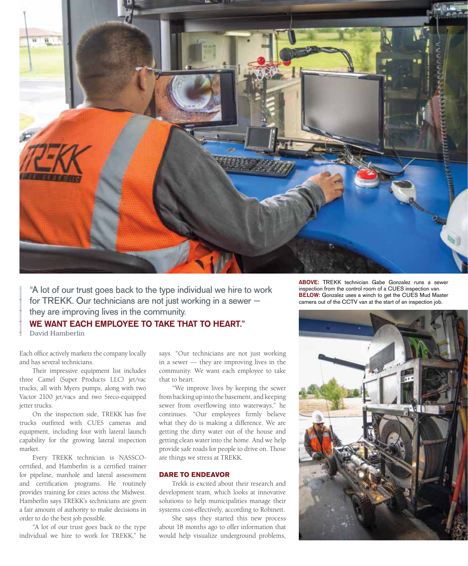

"A lot of our trust goes back to the type individual we hire to work for TREKK. Our technicians are not just working in a sewer they are improving lives in the community.

WE WANT EACH EMPLOYEE TO TAKE THAT TO HEART." David Hamberlin

Each office actively markets the company locally and has several technicians.

Their impressive equipment list includes three Camel (Super Products LLC) jet/vac trucks, all with Myers pumps, along with two Vactor 2100 jet/vacs and two Sreco-equipped jetter trucks.

On the inspection side, TREKK has five trucks outfitted with CUES cameras and equipment, including four with lateral launch capability for the growing lateral inspection market.

Every TREKK technician is NASSCOcertified, and Hamberlin is a certified trainer for pipeline, manhole and lateral assessment and certification programs. He routinely provides training for cities across the Midwest. Hamberlin says TREKK's technicians are given a fair amount of authority to make decisions in order to do the best job possible.

"A lot of our trust goes back to the type individual we hire to work for TREKK," he

says. "Our technicians are not just working in a sewer — they are improving lives in the community. We want each employee to take that to heart.

"We improve lives by keeping the sewer from backing up into the basement, and keeping sewer from overflowing into waterways," he continues. "Our employees firmly believe what they do is making a difference. We are getting the dirty water out of the house and getting clean water into the home. And we help provide safe roads for people to drive on. Those are things we stress at TREKK.

### **DARE TO ENDEAVOR**

Trekk is excited about their research and development team, which looks at innovative solutions to help municipalities manage their systems cost-effectively, according to Robinett.

She says they started this new process about 18 months ago to offer information that would help visualize underground problems,

ABOVE: TREKK technician Gabe Gonzalez runs a sewer inspection from the control room of a CUES inspection van. **BELOW:** Gonzalez uses a winch to get the CUES Mud Master camera out of the CCTV van at the start of an inspection job.